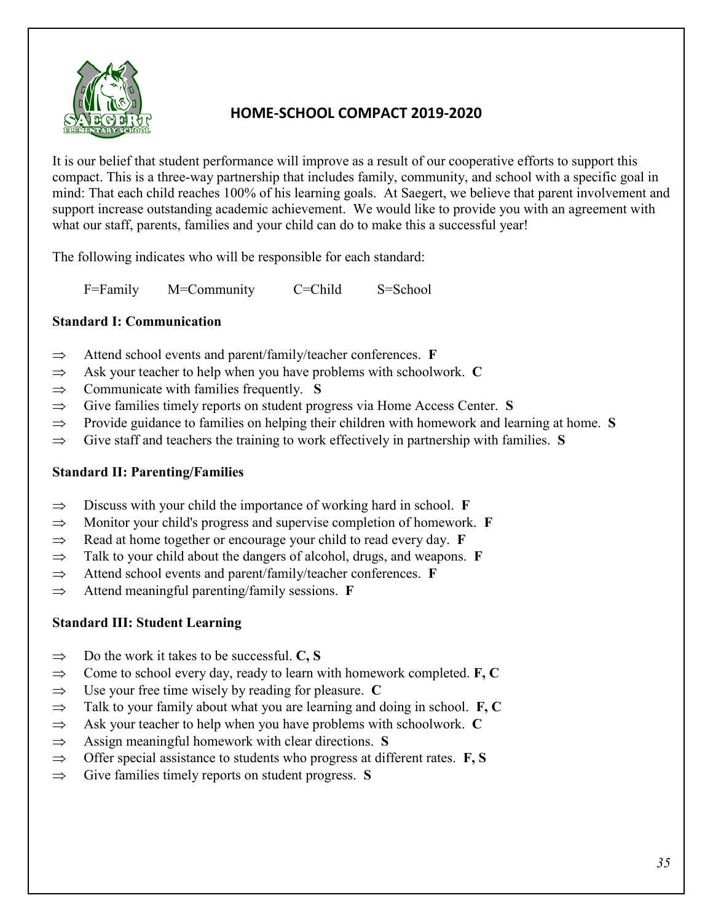

# **HOME-SCHOOL COMPACT 2019-2020**

It is our belief that student performance will improve as a result of our cooperative efforts to support this compact. This is a three-way partnership that includes family, community, and school with a specific goal in mind: That each child reaches 100% of his learning goals. At Saegert, we believe that parent involvement and support increase outstanding academic achievement. We would like to provide you with an agreement with what our staff, parents, families and your child can do to make this a successful year!

The following indicates who will be responsible for each standard:

F=Family M=Community C=Child S=School

## **Standard I: Communication**

- ⇒ Attend school events and parent/family/teacher conferences. **F**
- ⇒ Ask your teacher to help when you have problems with schoolwork. **C**
- ⇒ Communicate with families frequently. **S**
- ⇒ Give families timely reports on student progress via Home Access Center. **S**
- ⇒ Provide guidance to families on helping their children with homework and learning at home. **S**
- ⇒ Give staff and teachers the training to work effectively in partnership with families. **S**

## **Standard II: Parenting/Families**

- ⇒ Discuss with your child the importance of working hard in school. **F**
- ⇒ Monitor your child's progress and supervise completion of homework. **F**
- ⇒ Read at home together or encourage your child to read every day. **F**
- ⇒ Talk to your child about the dangers of alcohol, drugs, and weapons. **F**
- ⇒ Attend school events and parent/family/teacher conferences. **F**
- ⇒ Attend meaningful parenting/family sessions. **F**

## **Standard III: Student Learning**

- ⇒ Do the work it takes to be successful. **C, S**
- ⇒ Come to school every day, ready to learn with homework completed. **F, C**
- ⇒ Use your free time wisely by reading for pleasure. **C**
- ⇒ Talk to your family about what you are learning and doing in school. **F, C**
- ⇒ Ask your teacher to help when you have problems with schoolwork. **C**
- ⇒ Assign meaningful homework with clear directions. **S**
- ⇒ Offer special assistance to students who progress at different rates. **F, S**
- ⇒ Give families timely reports on student progress. **S**